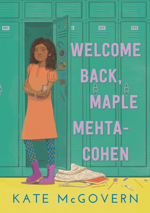

# KATE McGOVERN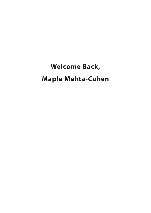## **Welcome Back, Maple Mehta-Cohen**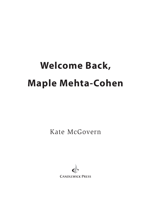# **Welcome Back, Maple Mehta-Cohen**

Kate McGovern

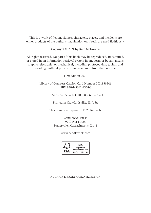This is a work of fiction. Names, characters, places, and incidents are either products of the author's imagination or, if real, are used fictitiously.

Copyright © 2021 by Kate McGovern

All rights reserved. No part of this book may be reproduced, transmitted, or stored in an information retrieval system in any form or by any means, graphic, electronic, or mechanical, including photocopying, taping, and recording, without prior written permission from the publisher.

First edition 2021

Library of Congress Catalog Card Number 2021938546 ISBN 978-1-5362-1558-8

21 22 23 24 25 26 LSC 10 9 8 7 6 5 4 3 2 1

Printed in Crawfordsville, IL, USA

This book was typeset in ITC Slimbach.

Candlewick Press 99 Dover Street Somerville, Massachusetts 02144

www.candlewick.com



#### A JUNIOR LIBRARY GUILD SELECTION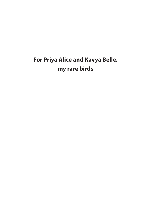#### **For Priya Alice and Kavya Belle, my rare birds**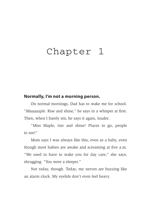### Chapter 1

#### **Normally, I'm not a morning person.**

On normal mornings, Dad has to wake me for school. "*Maaaaaple*. Rise and shine," he says in a whisper at first. Then, when I barely stir, he says it again, louder.

"Miss Maple, rise and shine! Places to go, people to see!"

Mom says I was always like this, even as a baby, even though most babies are awake and screaming at five a.m. "We used to have to wake you for day care," she says, shrugging. "You were a sleeper."

Not today, though. Today, my nerves are buzzing like an alarm clock. My eyelids don't even feel heavy.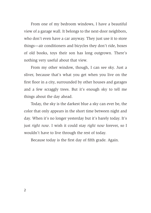From one of my bedroom windows, I have a beautiful view of a garage wall. It belongs to the next-door neighbors, who don't even have a car anyway. They just use it to store things—air conditioners and bicycles they don't ride, boxes of old books, toys their son has long outgrown. There's nothing very useful about that view.

From my other window, though, I can see sky. Just a sliver, because that's what you get when you live on the first floor in a city, surrounded by other houses and garages and a few scraggly trees. But it's enough sky to tell me things about the day ahead.

Today, the sky is the darkest blue a sky can ever be, the color that only appears in the short time between night and day. When it's no longer yesterday but it's barely today. It's just *right now*. I wish it could stay *right now* forever, so I wouldn't have to live through the rest of today.

Because today is the first day of fifth grade. Again.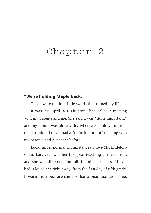#### Chapter 2

#### **"We're holding Maple back."**

Those were the four little words that ruined my life.

It was last April. Ms. Littleton-Chan called a meeting with my parents and me. She said it was "quite important," and my mouth was already dry when we sat down in front of her desk. I'd never had a "quite important" meeting with my parents and a teacher before.

Look, under normal circumstances, I love Ms. Littleton-Chan. Last year was her first year teaching at the Barton, and she was different from all the other teachers I'd ever had. I loved her right away, from the first day of fifth grade. It wasn't just because she also has a bicultural last name,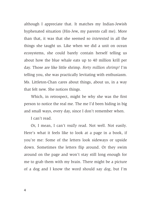although I appreciate that. It matches my Indian-Jewish hyphenated situation (Hin-Jew, my parents call me). More than that, it was that she seemed so *interested* in all the things she taught us. Like when we did a unit on ocean ecosystems, she could barely contain herself telling us about how the blue whale eats up to 40 million krill per day. Those are like little shrimp. *Forty million shrimp!* I'm telling you, she was practically levitating with enthusiasm. Ms. Littleton-Chan cares about things, about us, in a way that felt new. She notices things.

Which, in retrospect, might be why she was the first person to notice the real me. The me I'd been hiding in big and small ways, every day, since I don't remember when.

I can't read.

Or, I mean, I can't *really* read. Not well. Not easily. Here's what it feels like to look at a page in a book, if you're me: Some of the letters look sideways or upside down. Sometimes the letters flip around. Or they swim around on the page and won't stay still long enough for me to grab them with my brain. There might be a picture of a dog and I know the word should say *dog*, but I'm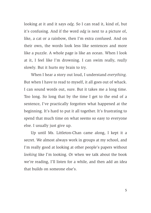looking at it and it says *odg*. So I can read it, kind of, but it's confusing. And if the word *odg* is next to a picture of, like, a cat or a rainbow, then I'm extra confused. And on their own, the words look less like sentences and more like a puzzle. A whole page is like an ocean. When I look at it, I feel like I'm drowning. I can swim really, *really* slowly. But it hurts my brain to try.

When I hear a story out loud, I understand *everything*. But when I have to read to myself, it all goes out of whack. I can sound words out, sure. But it takes me a long time. Too long. So long that by the time I get to the end of a sentence, I've practically forgotten what happened at the beginning. It's hard to put it all together. It's frustrating to spend that much time on what seems so easy to everyone else. I usually just give up.

Up until Ms. Littleton-Chan came along, I kept it a secret. We almost always work in groups at my school, and I'm really good at looking at other people's papers without *looking* like I'm looking. Or when we talk about the book we're reading, I'll listen for a while, and then add an idea that builds on someone else's.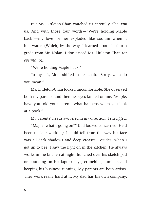But Ms. Littleton-Chan watched us carefully. She *saw* us. And with those four words—"We're holding Maple back"—my love for her exploded like sodium when it hits water. (Which, by the way, I learned about in fourth grade from Mr. Nolan. I don't need Ms. Littleton-Chan for *everything*.)

"We're holding Maple back."

To my left, Mom shifted in her chair. "Sorry, what do you mean?"

Ms. Littleton-Chan looked uncomfortable. She observed both my parents, and then her eyes landed on me. "Maple, have you told your parents what happens when you look at a book?"

My parents' heads swiveled in my direction. I shrugged.

"Maple, what's going on?" Dad looked concerned. He'd been up late working; I could tell from the way his face was all dark shadows and deep creases. Besides, when I got up to pee, I saw the light on in the kitchen. He always works in the kitchen at night, hunched over his sketch pad or pounding on his laptop keys, crunching numbers and keeping his business running. My parents are both artists. They work really hard at it. My dad has his own company,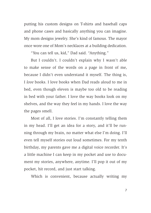putting his custom designs on T-shirts and baseball caps and phone cases and basically anything you can imagine. My mom designs jewelry. She's kind of famous. The mayor once wore one of Mom's necklaces at a building dedication.

"You can tell us, kid," Dad said. "Anything."

But I couldn't. I couldn't explain why I wasn't able to make sense of the words on a page in front of me, because I didn't even understand it myself. The thing is, I *love* books. I love books when Dad reads aloud to me in bed, even though eleven is maybe too old to be reading in bed with your father. I love the way books look on my shelves, and the way they feel in my hands. I love the way the pages smell.

Most of all, I love stories. I'm constantly telling them in my head. I'll get an idea for a story, and it'll be running through my brain, no matter what else I'm doing. I'll even tell myself stories out loud sometimes. For my tenth birthday, my parents gave me a digital voice recorder. It's a little machine I can keep in my pocket and use to document my stories, anywhere, anytime. I'll pop it out of my pocket, hit record, and just start talking.

Which is convenient, because actually writing my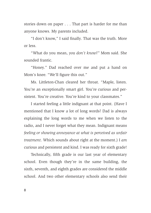stories down on paper . . . That part is harder for me than anyone knows. My parents included.

"I don't know," I said finally. That was the truth. More or less.

"What do you mean, *you don't know*?" Mom said. She sounded frantic.

"Honey." Dad reached over me and put a hand on Mom's knee. "We'll figure this out."

Ms. Littleton-Chan cleared her throat. "Maple, listen. You're an exceptionally smart girl. You're curious and persistent. You're creative. You're kind to your classmates."

I started feeling a little indignant at that point. (Have I mentioned that I know a lot of long words? Dad is always explaining the long words to me when we listen to the radio, and I never forget what they mean. Indignant means *feeling or showing annoyance at what is perceived as unfair treatment*. Which sounds about right at the moment.) I *am* curious and persistent and kind. I was ready for sixth grade!

Technically, fifth grade is our last year of elementary school. Even though they're in the same building, the sixth, seventh, and eighth grades are considered the middle school. And two other elementary schools also send their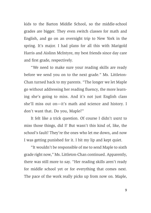kids to the Barton Middle School, so the middle-school grades are bigger. They even switch classes for math and English, and go on an overnight trip to New York in the spring. It's major. I had plans for all this with Marigold Harris and Aislinn McIntyre, my best friends since day care and first grade, respectively.

"We need to make sure your reading skills are ready before we send you on to the next grade." Ms. Littleton-Chan turned back to my parents. "The longer we let Maple go without addressing her reading fluency, the more learning she's going to miss. And it's not just English class she'll miss out on—it's math and science and history. I don't want that. Do you, Maple?"

It felt like a trick question. Of course I didn't *want* to miss those things, did I? But wasn't this kind of, like, the school's fault? They're the ones who let me down, and now I was getting punished for it. I bit my lip and kept quiet.

"It wouldn't be responsible of me to send Maple to sixth grade right now," Ms. Littleton-Chan continued. Apparently, there was still more to say. "Her reading skills aren't ready for middle school yet or for everything that comes next. The pace of the work really picks up from now on. Maple,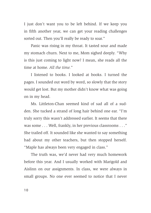I just don't want you to be left behind. If we keep you in fifth another year, we can get your reading challenges sorted out. Then you'll really be ready to soar."

Panic was rising in my throat. It tasted sour and made my stomach churn. Next to me, Mom sighed deeply. "Why is this just coming to light now? I mean, she reads all the time at home. *All the time.*"

I listened to books. I looked at books. I turned the pages. I sounded out word by word, so slowly that the story would get lost. But my mother didn't know what was going on in my head.

Ms. Littleton-Chan seemed kind of sad all of a sudden. She tucked a strand of long hair behind one ear. "I'm truly sorry this wasn't addressed earlier. It seems that there was some . . . Well, frankly, in her previous classrooms . . ." She trailed off. It sounded like she wanted to say something bad about my other teachers, but then stopped herself. "Maple has always been very engaged in class."

The truth was, we'd never had very much homework before this year. And I usually worked with Marigold and Aislinn on our assignments. In class, we were always in small groups. No one ever seemed to notice that I never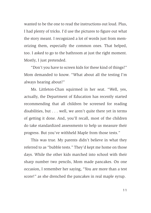wanted to be the one to read the instructions out loud. Plus, I had plenty of tricks. I'd use the pictures to figure out what the story meant. I recognized a lot of words just from memorizing them, especially the common ones. That helped, too. I asked to go to the bathroom at just the right moment. Mostly, I just pretended.

"Don't you have to screen kids for these kind of things?" Mom demanded to know. "What about all the testing I'm always hearing about?"

Ms. Littleton-Chan squirmed in her seat. "Well, yes, actually, the Department of Education has recently started recommending that all children be screened for reading disabilities, but . . . well, we aren't quite there yet in terms of getting it done. And, you'll recall, most of the children do take standardized assessments to help us measure their progress. But you've withheld Maple from those tests."

This was true. My parents didn't believe in what they referred to as "bubble tests." They'd kept me home on those days. While the other kids marched into school with their sharp number two pencils, Mom made pancakes. On one occasion, I remember her saying, "You are more than a test score!" as she drenched the pancakes in real maple syrup.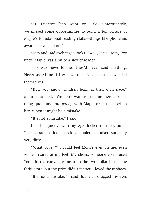Ms. Littleton-Chan went on: "So, unfortunately, we missed some opportunities to build a full picture of Maple's foundational reading skills—things like phonemic awareness and so on."

Mom and Dad exchanged looks. "Well," said Mom, "we knew Maple was a bit of a slower reader."

This was news to me. They'd never said anything. Never asked me if I was worried. Never seemed worried themselves.

"But, you know, children learn at their own pace," Mom continued. "We don't want to assume there's something quote-unquote *wrong* with Maple or put a label on her. When it might be a mistake."

"It's not a mistake," I said.

I said it quietly, with my eyes locked on the ground. The classroom floor, speckled linoleum, looked suddenly very dirty.

"What, lovey?" I could feel Mom's eyes on me, even while I stared at my feet. My shoes, someone else's used Toms in red canvas, came from the two-dollar bin at the thrift store, but the price didn't matter. I loved those shoes.

"It's not a mistake," I said, louder. I dragged my eyes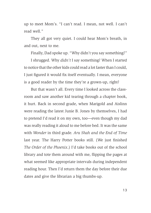up to meet Mom's. "I can't read. I mean, not well. I can't read well."

They all got very quiet. I could hear Mom's breath, in and out, next to me.

Finally, Dad spoke up. "Why didn't you say something?"

I shrugged. Why *didn't* I say something? When I started to notice that the other kids could read a lot faster than I could, I just figured it would fix itself eventually. I mean, everyone is a good reader by the time they're a grown-up, right?

But that wasn't all. Every time I looked across the classroom and saw another kid tearing through a chapter book, it hurt. Back in second grade, when Marigold and Aislinn were reading the latest Junie B. Jones by themselves, I had to pretend I'd read it on my own, too—even though my dad was really reading it aloud to me before bed. It was the same with *Wonder* in third grade. *Aru Shah and the End of Time* last year. The Harry Potter books still. (We just finished *The Order of the Phoenix*.) I'd take books out of the school library and tote them around with me, flipping the pages at what seemed like appropriate intervals during independent reading hour. Then I'd return them the day before their due dates and give the librarian a big thumbs-up.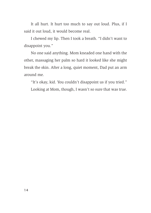It all hurt. It hurt too much to say out loud. Plus, if I said it out loud, it would become real.

I chewed my lip. Then I took a breath. "I didn't want to disappoint you."

No one said anything. Mom kneaded one hand with the other, massaging her palm so hard it looked like she might break the skin. After a long, quiet moment, Dad put an arm around me.

"It's okay, kid. You couldn't disappoint us if you tried." Looking at Mom, though, I wasn't so sure that was true.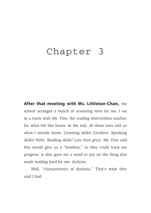### Chapter 3

**After that meeting with Ms. Littleton-Chan,** the school arranged a bunch of screening tests for me. I sat in a room with Ms. Fine, the reading intervention teacher, for what felt like hours. In the end, all those tests told us what I already knew: Listening skills? *Excellent.* Speaking skills? *Hello.* Reading skills? *Less than great.* Ms. Fine said this would give us a "baseline," so they could track my progress. It also gave me a word to put on the thing that made reading hard for me: *dyslexia*.

Well, "*characteristics* of dyslexia." That's what they said I had.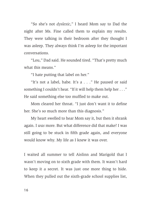"So she's not *dyslexic*," I heard Mom say to Dad the night after Ms. Fine called them to explain my results. They were talking in their bedroom after they thought I was asleep. They always think I'm asleep for the important conversations.

"Lou," Dad said. He sounded tired. "That's pretty much what this means."

"I hate putting that label on her."

"It's not a label, babe. It's a . . ." He paused or said something I couldn't hear. "If it will help them help her . . ." He said something else too muffled to make out.

Mom cleared her throat. "I just don't want it to define her. She's so much more than this diagnosis."

My heart swelled to hear Mom say it, but then it shrank again. I *was* more. But what difference did that make? I was still going to be stuck in fifth grade again, and everyone would know why. My life as I knew it was over.

I waited all summer to tell Aislinn and Marigold that I wasn't moving on to sixth grade with them. It wasn't hard to keep it a secret. It was just one more thing to hide. When they pulled out the sixth-grade school supplies list,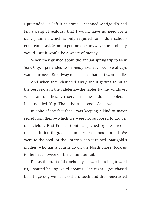I pretended I'd left it at home. I scanned Marigold's and felt a pang of jealousy that I would have no need for a daily planner, which is only required for middle schoolers. I could ask Mom to get me one anyway; she probably would. But it would be a waste of money.

When they gushed about the annual spring trip to New York City, I pretended to be *really* excited, too. I've always wanted to see a Broadway musical, so that part wasn't a lie.

And when they chattered away about getting to sit at the best spots in the cafeteria—the tables by the windows, which are unofficially reserved for the middle schoolers-I just nodded. Yup. That'll be super cool. Can't wait.

In spite of the fact that I was keeping a kind of major secret from them—which we were not supposed to do, per our Lifelong Best Friends Contract (signed by the three of us back in fourth grade)—summer felt almost normal. We went to the pool, or the library when it rained. Marigold's mother, who has a cousin up on the North Shore, took us to the beach twice on the commuter rail.

But as the start of the school year was barreling toward us, I started having weird dreams: One night, I got chased by a huge dog with razor-sharp teeth and drool-encrusted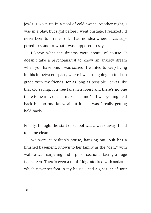jowls. I woke up in a pool of cold sweat. Another night, I was in a play, but right before I went onstage, I realized I'd never been to a rehearsal. I had no idea where I was supposed to stand or what I was supposed to say.

I knew what the dreams were about, of course. It doesn't take a psychoanalyst to know an anxiety dream when you have one. I was scared. I wanted to keep living in this in-between space, where I was still going on to sixth grade with my friends, for as long as possible. It was like that old saying: If a tree falls in a forest and there's no one there to hear it, does it make a sound? If I was getting held back but no one knew about it . . . was I really getting held back?

Finally, though, the start of school was a week away. I had to come clean.

We were at Aislinn's house, hanging out. Ash has a finished basement, known to her family as the "den," with wall-to-wall carpeting and a plush sectional facing a huge flat-screen. There's even a mini-fridge stocked with sodas which never set foot in my house—and a glass jar of sour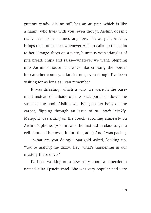gummy candy. Aislinn still has an au pair, which is like a nanny who lives with you, even though Aislinn doesn't really need to be nannied anymore. The au pair, Amelia, brings us more snacks whenever Aislinn calls up the stairs to her. Orange slices on a plate, hummus with triangles of pita bread, chips and salsa—whatever we want. Stepping into Aislinn's house is always like crossing the border into another country, a fancier one, even though I've been visiting for as long as I can remember

It was drizzling, which is why we were in the basement instead of outside on the back porch or down the street at the pool. Aislinn was lying on her belly on the carpet, flipping through an issue of *In Touch Weekly*. Marigold was sitting on the couch, scrolling aimlessly on Aislinn's phone. (Aislinn was the first kid in class to get a cell phone of her own, in fourth grade.) And I was pacing.

"What are you doing?" Marigold asked, looking up. "You're making me dizzy. Hey, what's happening in our mystery these days?"

I'd been working on a new story about a supersleuth named Mira Epstein-Patel. She was very popular and very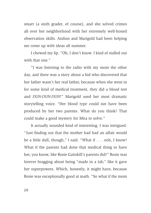smart (a sixth grader, of course), and she solved crimes all over her neighborhood with her extremely well-honed observation skills. Aislinn and Marigold had been helping me come up with ideas all summer.

I chewed my lip. "Oh, I don't know. I kind of stalled out with that one."

"I was listening to the radio with my mom the other day, and there was a story about a kid who discovered that her father wasn't her real father, because when she went in for some kind of medical treatment, they did a blood test and *DUN-DUN-DUN*!" Marigold used her most dramatic storytelling voice. "Her blood type could not have been produced by her two parents. What do you think? That could make a good mystery for Mira to solve."

It actually sounded kind of interesting. I was intrigued. "Just finding out that the mother had had an affair would be a little dull, though," I said. "What if . . . ooh, I know! What if the parents had done that medical thing to have her, you know, like Rosie Gaitskill's parents did?" Rosie was forever bragging about being "made in a lab," like it gave her superpowers. Which, honestly, it might have, because Rosie was exceptionally good at math. "So what if the mom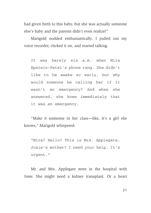had given birth to this baby, but she was actually someone else's baby and the parents didn't even realize?"

Marigold nodded enthusiastically. I pulled out my voice recorder, clicked it on, and started talking.

It was barely six a.m. when Mira Epstein-Patel's phone rang. She didn't like to be awake so early, but why would someone be calling her if it wasn't an emergency? And when she answered, she knew immediately that it was an emergency.

"Make it someone in her class—like, it's a girl she knows," Marigold whispered.

"Mira? Hello? This is Mrs. Applegate. Josie's mother? I need your help. It's urgent."

Mr. and Mrs. Applegate were in the hospital with Josie. She might need a kidney transplant. Or a heart

21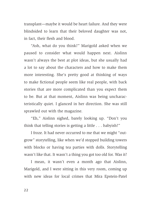transplant—maybe it would be heart failure. And they were blindsided to learn that their beloved daughter was not, in fact, their flesh and blood.

"Ash, what do you think?" Marigold asked when we paused to consider what would happen next. Aislinn wasn't always the best at plot ideas, but she usually had a lot to say about the characters and how to make them more interesting. She's pretty good at thinking of ways to make fictional people seem like real people, with back stories that are more complicated than you expect them to be. But at that moment, Aislinn was being uncharacteristically quiet. I glanced in her direction. She was still sprawled out with the magazine.

"Eh," Aislinn sighed, barely looking up. "Don't you think that telling stories is getting a little . . . babyish?"

I froze. It had never occurred to me that we might "outgrow" storytelling, like when we'd stopped building towers with blocks or having tea parties with dolls. Storytelling wasn't like that. It wasn't a thing you got too old for. Was it?

I mean, it wasn't even a month ago that Aislinn, Marigold, and I were sitting in this very room, coming up with new ideas for local crimes that Mira Epstein-Patel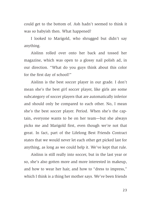could get to the bottom of. Ash hadn't seemed to think it was so babyish then. What happened?

I looked to Marigold, who shrugged but didn't say anything.

Aislinn rolled over onto her back and tossed her magazine, which was open to a glossy nail polish ad, in our direction. "What do you guys think about this color for the first day of school?"

Aislinn is the best soccer player in our grade. I don't mean she's the best *girl* soccer player, like girls are some subcategory of soccer players that are automatically inferior and should only be compared to each other. No, I mean she's the best soccer player. Period. When she's the captain, everyone wants to be on her team—but she always picks me and Marigold first, even though we're not that great. In fact, part of the Lifelong Best Friends Contract states that we would never let each other get picked last for anything, as long as we could help it. We've kept that rule.

Aislinn is still really into soccer, but in the last year or so, she's also gotten more and more interested in makeup, and how to wear her hair, and how to "dress to impress," which I think is a thing her mother says. We've been friends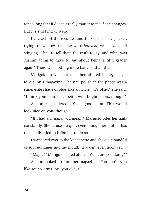for so long that it doesn't really matter to me if she changes. But it's still kind of weird.

I clicked off the recorder and tucked it in my pocket, trying to swallow back the word *babyish*, which was still stinging. I had to tell them the truth today, and what was Aislinn going to have to say about being a fifth grader again? There was nothing more babyish than that.

Marigold frowned at me, then shifted her eyes over to Aislinn's magazine. The nail polish in the photo was a super-pale shade of blue, like an icicle. "It's okay," she said. "I think your skin looks better with bright colors, though."

Aislinn reconsidered. "Yeah, good point. This would look nice on you, though."

"If I had any nails, you mean!" Marigold bites her nails constantly. She refuses to quit, even though her mother has repeatedly tried to bribe her to do so.

I wandered over to the kitchenette and shoved a handful of sour gummies into my mouth. It wasn't even noon yet.

"Maple?" Marigold stared at me. "What are you doing?"

Aislinn looked up from her magazine. "You don't even like sour worms. Are you okay?"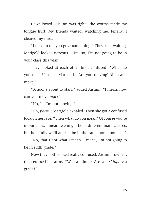I swallowed. Aislinn was right—the worms made my tongue hurt. My friends waited, watching me. Finally, I cleared my throat.

"I need to tell you guys something." They kept waiting. Marigold looked nervous. "Um, so, I'm not going to be in your class this year."

They looked at each other first, confused. "What do you mean?" asked Marigold. "Are you moving? You can't move!"

"School's about to start," added Aislinn. "I mean, how can you move *now*?"

"No, I—I'm not moving."

"Oh, *phew*." Marigold exhaled. Then she got a confused look on her face. "Then what do you mean? Of course you're in our class. I mean, we might be in different math classes, but hopefully we'll at least be in the same homeroom . . ."

"No, that's not what I mean. I mean, I'm not going to be in sixth grade."

Now they both looked really confused. Aislinn frowned, then crossed her arms. "Wait a minute. Are you *skipping* a grade?"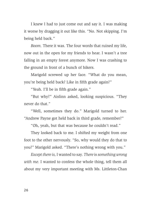I knew I had to just come out and say it. I was making it worse by dragging it out like this. "No. Not skipping. I'm being held back."

*Boom.* There it was. The four words that ruined my life, now out in the open for my friends to hear. I wasn't a tree falling in an empty forest anymore. Now I was crashing to the ground in front of a bunch of hikers.

Marigold screwed up her face. "What do you mean, you're being held back? Like in fifth grade again?"

"Yeah. I'll be in fifth grade again."

"But why?" Aislinn asked, looking suspicious. "They never do that."

"Well, sometimes they do." Marigold turned to her. " Andrew Payne got held back in third grade, remember?"

"Oh, yeah, but that was because he couldn't read."

They looked back to me. I shifted my weight from one foot to the other nervously. "So, why would they do that to you?" Marigold asked. "There's nothing wrong with you."

*Except there is,* I wanted to say. *There* is *something wrong with me.* I wanted to confess the whole thing, tell them all about my very important meeting with Ms. Littleton-Chan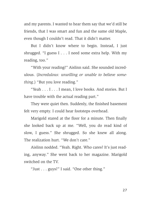and my parents. I wanted to hear them say that we'd still be friends, that I was smart and fun and the same old Maple, even though I couldn't read. That it didn't matter.

But I didn't know where to begin. Instead, I just shrugged. "I guess I . . . I need some extra help. With my reading, too."

"With your reading?" Aislinn said. She sounded incredulous. (*Incredulous: unwilling or unable to believe something.*) "But you love reading."

"Yeah . . . I . . . I mean, I love books. And stories. But I have trouble with the actual reading part."

They were quiet then. Suddenly, the finished basement felt very empty. I could hear footsteps overhead.

Marigold stared at the floor for a minute. Then finally she looked back up at me. "Well, you do read kind of slow, I guess." She shrugged. So she knew all along. The realization hurt. "We don't care."

Aislinn nodded. "Yeah. Right. Who cares? It's just reading, anyway." She went back to her magazine. Marigold switched on the TV.

"Just . . . guys?" I said. "One other thing."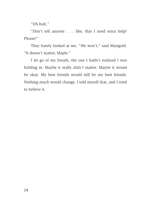"Uh-huh."

"Don't tell anyone . . . like, that I need extra help? Please?"

They barely looked at me. "We won't," said Marigold. "It doesn't matter, Maple."

I let go of my breath, the one I hadn't realized I was holding in. Maybe it really *didn't* matter. Maybe it would be okay. My best friends would still be my best friends. Nothing much would change. I told myself that, and I tried to believe it.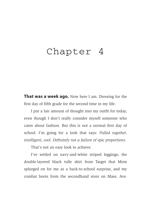#### Chapter 4

**That was a week ago.** Now here I am. Dressing for the first day of fifth grade for the second time in my life.

I put a fair amount of thought into my outfit for today, even though I don't really consider myself someone who cares about fashion. But this is not a normal first day of school. I'm going for a look that says: *Pulled together, intelligent, cool. Definitely not a failure of epic proportions.* 

That's not an easy look to achieve.

I've settled on navy-and-white striped leggings, the double-layered black tulle skirt from Target that Mom splurged on for me as a back-to-school surprise, and my combat boots from the secondhand store on Mass. Ave.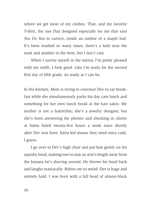where we get most of my clothes. That, and my favorite T-shirt, the one Dad designed especially for me that says *You Do You* in cursive, inside an outline of a maple leaf. It's been washed so many times, there's a hole near the neck and another in the hem, but I don't care.

When I survey myself in the mirror, I'm pretty pleased with my outfit. I look good. Like I'm ready for the second first day of fifth grade. As ready as I can be.

In the kitchen, Mom is trying to convince Dev to eat breakfast while she simultaneously packs his day care lunch and something for her own lunch break at the hair salon. My mother is not a hairstylist; she's a jewelry designer, but she's been answering the phones and checking in clients at Salon Soleil twenty-five hours a week since shortly after Dev was born. Extra kid means they need extra cash, I guess.

I go over to Dev's high chair and pat him gently on his squishy head, making sure to stay an arm's length away from the banana he's shoving around. He throws his head back and laughs maniacally. Babies are so weird. Dev is huge and entirely bald. I was born with a full head of almost-black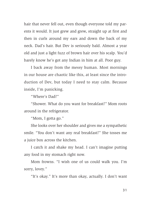hair that never fell out, even though everyone told my parents it would. It just grew and grew, straight up at first and then in curls around my ears and down the back of my neck. Dad's hair. But Dev is seriously bald. Almost a year old and just a light fuzz of brown hair over his scalp. You'd barely know he's got any Indian in him at all. Poor guy.

I back away from the messy human. Most mornings in our house are chaotic like this, at least since the introduction of Dev, but today I need to stay calm. Because inside, I'm panicking.

"Where's Dad?"

"Shower. What do you want for breakfast?" Mom roots around in the refrigerator.

"Mom, I gotta go."

She looks over her shoulder and gives me a sympathetic smile. "You don't want any real breakfast?" She tosses me a juice box across the kitchen.

I catch it and shake my head. I can't imagine putting any food in my stomach right now.

Mom frowns. "I wish one of us could walk you. I'm sorry, lovey."

"It's okay." It's more than okay, actually. I don't want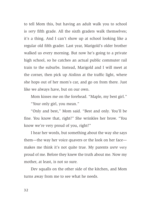to tell Mom this, but having an adult walk you to school is *very* fifth grade. All the sixth graders walk themselves; it's a thing. And I can't show up at school looking like a regular old fifth grader. Last year, Marigold's older brother walked us every morning. But now he's going to a private high school, so he catches an actual public commuter rail train to the suburbs. Instead, Marigold and I will meet at the corner, then pick up Aislinn at the traffic light, where she hops out of her mom's car, and go on from there. Just like we always have, but on our own.

Mom kisses me on the forehead. "Maple, my best girl." "Your only girl, you mean."

"Only and best," Mom said. "Best and only. You'll be fine. You know that, right?" She wrinkles her brow. "You know we're very proud of you, right?"

I hear her words, but something about the way she says them—the way her voice quavers or the look on her face makes me think it's not quite true. My parents *were* very proud of me. Before they knew the truth about me. Now my mother, at least, is not so sure.

Dev squalls on the other side of the kitchen, and Mom turns away from me to see what he needs.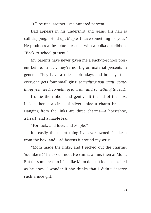"I'll be fine, Mother. One hundred percent."

Dad appears in his undershirt and jeans. His hair is still dripping. "Hold up, Maple. I have something for you." He produces a tiny blue box, tied with a polka-dot ribbon. "Back-to-school present."

My parents have never given me a back-to-school present before. In fact, they're not big on material presents in general. They have a rule at birthdays and holidays that everyone gets four small gifts: *something you want, something you need, something to wear, and something to read.*

I untie the ribbon and gently lift the lid of the box. Inside, there's a circle of silver links: a charm bracelet. Hanging from the links are three charms—a horseshoe, a heart, and a maple leaf.

"For luck, and love, and Maple."

It's easily the nicest thing I've ever owned. I take it from the box, and Dad fastens it around my wrist.

"Mom made the links, and I picked out the charms. You like it?" he asks. I nod. He smiles at me, then at Mom. But for some reason I feel like Mom doesn't look as excited as he does. I wonder if she thinks that I didn't deserve such a nice gift.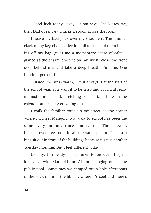"Good luck today, lovey," Mom says. She kisses me, then Dad does. Dev chucks a spoon across the room.

I heave my backpack over my shoulders. The familiar clack of my key-chain collection, all fourteen of them hanging off my bag, gives me a momentary sense of calm. I glance at the charm bracelet on my wrist, close the front door behind me, and take a deep breath. I'm fine. One hundred percent fine.

Outside, the air is warm, like it always is at the start of the school year. You want it to be crisp and cool. But really it's just summer still, stretching past its fair share on the calendar and rudely crowding out fall.

I walk the familiar route up my street, to the corner where I'll meet Marigold. My walk to school has been the same every morning since kindergarten. The sidewalk buckles over tree roots in all the same places. The trash bins sit out in front of the buildings because it's just another Tuesday morning. But I feel different today.

Usually, I'm ready for summer to be over. I spent long days with Marigold and Aislinn, hanging out at the public pool. Sometimes we camped out whole afternoons in the back room of the library, where it's cool and there's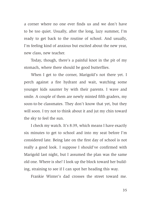a corner where no one ever finds us and we don't have to be too quiet. Usually, after the long, lazy summer, I'm ready to get back to the routine of school. And usually, I'm feeling kind of anxious but excited about the new year, new class, new teacher.

Today, though, there's a painful knot in the pit of my stomach, where there should be good butterflies.

When I get to the corner, Marigold's not there yet. I perch against a fire hydrant and wait, watching some younger kids saunter by with their parents. I wave and smile. A couple of them are newly minted fifth graders, my soon-to-be classmates. They don't know that yet, but they will soon. I try not to think about it and jut my chin toward the sky to feel the sun.

I check my watch. It's 8:39, which means I have exactly six minutes to get to school and into my seat before I'm considered late. Being late on the first day of school is not really a good look. I suppose I should've confirmed with Marigold last night, but I assumed the plan was the same old one. Where is she? I look up the block toward her building, straining to see if I can spot her heading this way.

Frankie Winter's dad crosses the street toward me.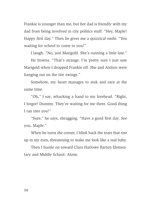Frankie is younger than me, but her dad is friendly with my dad from being involved in city politics stuff. "Hey, Maple! Happy first day." Then he gives me a quizzical smile. "You waiting for school to come to you?"

I laugh. "No, just Marigold. She's running a little late."

He frowns. "That's strange. I'm pretty sure I just saw Marigold when I dropped Frankie off. She and Aislinn were hanging out on the tire swings."

Somehow, my heart manages to sink and race at the same time.

"Oh," I say, whacking a hand to my forehead. "Right, I forgot! Dummy. They're waiting for me there. Good thing I ran into you!"

"Sure," he says, shrugging. "Have a good first day. See you, Maple."

When he turns the corner, I blink back the tears that rise up in my eyes, threatening to make me look like a real baby.

Then I hustle on toward Clara Harlowe Barton Elementary and Middle School. Alone.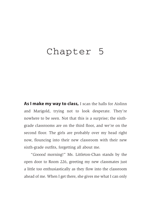#### Chapter 5

**As I make my way to class,** I scan the halls for Aislinn and Marigold, trying not to look desperate. They're nowhere to be seen. Not that this is a surprise; the sixthgrade classrooms are on the third floor, and we're on the second floor. The girls are probably over my head right now, flouncing into their new classroom with their new sixth-grade outfits, forgetting all about me.

"*Gooood* morning!" Ms. Littleton-Chan stands by the open door to Room 226, greeting my new classmates just a little too enthusiastically as they flow into the classroom ahead of me. When I get there, she gives me what I can only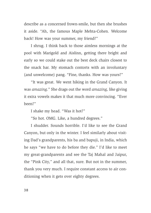describe as a concerned frown-smile, but then she brushes it aside. "Ah, the famous Maple Mehta-Cohen. Welcome back! How was your summer, my friend?"

I shrug. I think back to those aimless mornings at the pool with Marigold and Aislinn, getting there bright and early so we could stake out the best deck chairs closest to the snack bar. My stomach contorts with an involuntary (and unwelcome) pang. "Fine, thanks. How was yours?"

"It was great. We went hiking in the Grand Canyon. It was *amazing*." She drags out the word *amazing,* like giving it extra vowels makes it that much more convincing. "Ever been?"

I shake my head. "Was it hot?"

"So hot. OMG. Like, a hundred degrees."

I shudder. Sounds horrible. I'd like to see the Grand Canyon, but only in the winter. I feel similarly about visiting Dad's grandparents, his ba and bapuji, in India, which he says "we have to do before they die." I'd like to meet my great-grandparents and see the Taj Mahal and Jaipur, the "Pink City," and all that, sure. But not in the summer, thank you very much. I require constant access to air conditioning when it gets over eighty degrees.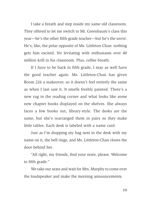I take a breath and step inside my same old classroom. They offered to let me switch to Mr. Greenbaum's class this year—he's the other fifth-grade teacher—but he's the *worst*. He's, like, the polar opposite of Ms. Littleton-Chan: nothing gets him excited. No levitating with enthusiasm over 40 million krill in his classroom. Plus, coffee breath.

If I *have* to be back in fifth grade, I may as well have the good teacher again. Ms. Littleton-Chan has given Room 226 a makeover, so it doesn't feel entirely the same as when I last saw it. It smells freshly painted. There's a new rug in the reading corner and what looks like some new chapter books displayed on the shelves. She always faces a few books out, library-style. The desks are the same, but she's rearranged them in pairs so they make little tables. Each desk is labeled with a name card.

Just as I'm dropping my bag next to the desk with my name on it, the bell rings, and Ms. Littleton-Chan closes the door behind her.

"All right, my friends, find your seats, please. Welcome to fifth grade."

We take our seats and wait for Mrs. Murphy to come over the loudspeaker and make the morning announcements.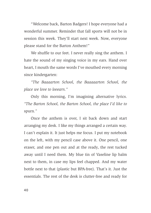"Welcome back, Barton Badgers! I hope everyone had a wonderful summer. Reminder that fall sports will not be in session this week. They'll start next week. Now, everyone please stand for the Barton Anthem!"

We shuffle to our feet. I never really sing the anthem. I hate the sound of my singing voice in my ears. Hand over heart, I mouth the same words I've mouthed every morning since kindergarten:

*"The Baaaarton School, the Baaaaarton School, the place we love to leeearn."*

Only this morning, I'm imagining alternative lyrics. *"The Barton School, the Barton School, the place I'd like to* spurn*."*

Once the anthem is over, I sit back down and start arranging my desk. I like my things arranged a certain way. I can't explain it. It just helps me focus. I put my notebook on the left, with my pencil case above it. One pencil, one eraser, and one pen out and at the ready, the rest tucked away until I need them. My blue tin of Vaseline lip balm next to them, in case my lips feel chapped. And my water bottle next to that (plastic but BPA-free). That's it. Just the essentials. The rest of the desk is clutter-free and ready for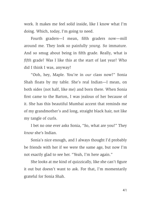work. It makes me feel solid inside, like I know what I'm doing. Which, today, I'm going to need.

Fourth graders—I mean, fifth graders now—mill around me. They look so painfully *young*. So immature. And so smug about being in fifth grade. Really, what is *fifth* grade? Was I like this at the start of last year? Who did I think I was, anyway?

"Ooh, hey, Maple. You're in *our* class now?" Sonia Shah floats by my table. She's real Indian-I mean, on both sides (not half, like me) and born there. When Sonia first came to the Barton, I was jealous of her because of it. She has this beautiful Mumbai accent that reminds me of my grandmother's and long, straight black hair, not like my tangle of curls.

I bet no one ever asks Sonia, "So, what are you?" They *know* she's Indian.

Sonia's nice enough, and I always thought I'd probably be friends with her if we were the same age, but now I'm not exactly glad to see her. "Yeah, I'm here again."

She looks at me kind of quizzically, like she can't figure it out but doesn't want to ask. For that, I'm momentarily grateful for Sonia Shah.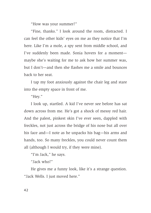"How was your summer?"

"Fine, thanks." I look around the room, distracted. I can feel the other kids' eyes on me as they notice that I'm here. Like I'm a mole, a spy sent from middle school, and I've suddenly been made. Sonia hovers for a moment maybe she's waiting for me to ask how her summer was, but I don't—and then she flashes me a smile and bounces back to her seat.

I tap my foot anxiously against the chair leg and stare into the empty space in front of me.

"Hey."

I look up, startled. A kid I've never see before has sat down across from me. He's got a shock of messy red hair. And the palest, pinkest skin I've ever seen, dappled with freckles, not just across the bridge of his nose but all over his face and—I note as he unpacks his bag—his arms and hands, too. So many freckles, you could never count them all (although I would try, if they were mine).

"I'm Jack," he says.

"Jack who?"

He gives me a funny look, like it's a strange question. " Jack Wells. I just moved here."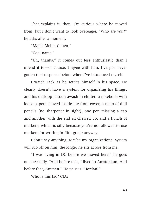That explains it, then. I'm curious where he moved from, but I don't want to look overeager. "Who are *you*?" he asks after a moment.

"Maple Mehta-Cohen."

"Cool name."

"Uh, thanks." It comes out less enthusiastic than I intend it to—of course, I *agree* with him. I've just never gotten that response before when I've introduced myself.

I watch Jack as he settles himself in his space. He clearly doesn't have a system for organizing his things, and his desktop is soon awash in clutter: a notebook with loose papers shoved inside the front cover, a mess of dull pencils (no sharpener in sight), one pen missing a cap and another with the end all chewed up, and a bunch of markers, which is silly because you're not allowed to use markers for writing in fifth grade anyway.

I don't say anything. Maybe my organizational system will rub off on him, the longer he sits across from me.

"I was living in DC before we moved here," he goes on cheerfully. "And before that, I lived in Amsterdam. And before that, Amman." He pauses. "Jordan?"

Who is this kid? CIA?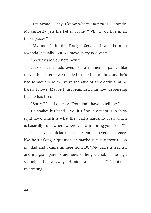"I'm aware," I say. I know where *Amman* is. Honestly. My curiosity gets the better of me. "Why'd you live in all those places?"

"My mom's in the Foreign Service. I was born in Rwanda, actually. But we move every two years."

"So why are you here now?"

Jack's face clouds over. For a moment I panic, like maybe his parents were killed in the line of duty and he's had to move here to live in the attic of an elderly aunt he barely knows. Maybe I just reminded him how depressing his life has become.

"Sorry," I add quickly. "You don't have to tell me."

He shakes his head. "No, it's fine. My mom is in Syria right now, which is what they call a hardship post, which is basically somewhere where you can't bring your kids?"

Jack's voice ticks up at the end of every sentence, like he's asking a question or maybe is just nervous. "So my dad and I came up here from DC? My dad's a teacher, and my grandparents are here, so he got a job at the high school, and . . . anyway." He stops and shrugs. "It's not that interesting."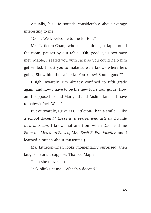Actually, his life sounds considerably above-average interesting to me.

"Cool. Well, welcome to the Barton."

Ms. Littleton-Chan, who's been doing a lap around the room, pauses by our table. "Oh, good, you two have met. Maple, I seated you with Jack so you could help him get settled. I trust you to make sure he knows where he's going. Show him the cafeteria. You know? Sound good?"

I sigh inwardly. I'm already confined to fifth grade again, and now I have to be the new kid's tour guide. How am I supposed to find Marigold and Aislinn later if I have to babysit Jack Wells?

But outwardly, I give Ms. Littleton-Chan a smile. "Like a school docent?" (*Docent: a person who acts as a guide in a museum.* I know that one from when Dad read me *From the Mixed-up Files of Mrs. Basil E. Frankweiler*, and I learned a bunch about museums.)

Ms. Littleton-Chan looks momentarily surprised, then laughs. "Sure, I suppose. Thanks, Maple."

Then she moves on.

Jack blinks at me. "What's a docent?"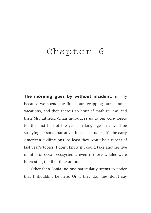### Chapter 6

**The morning goes by without incident,** mostly because we spend the first hour recapping our summer vacations, and then there's an hour of math review, and then Ms. Littleton-Chan introduces us to our core topics for the first half of the year: In language arts, we'll be studying personal narrative. In social studies, it'll be early American civilizations. At least they won't be a repeat of last year's topics. I don't know if I could take another five months of ocean ecosystems, even if those whales were interesting the first time around.

Other than Sonia, no one particularly seems to notice that I shouldn't be here. Or if they do, they don't say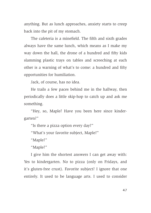anything. But as lunch approaches, anxiety starts to creep back into the pit of my stomach.

The cafeteria is a minefield. The fifth and sixth grades always have the same lunch, which means as I make my way down the hall, the drone of a hundred and fifty kids slamming plastic trays on tables and screeching at each other is a warning of what's to come: a hundred and fifty opportunities for humiliation.

Jack, of course, has no idea.

He trails a few paces behind me in the hallway, then periodically does a little skip-hop to catch up and ask me something.

"Hey, so, Maple? Have you been here since kindergarten?"

"Is there a pizza option every day?"

"What's your favorite subject, Maple?"

"Maple?"

"Maple?"

I give him the shortest answers I can get away with: Yes to kindergarten. No to pizza (only on Fridays, and it's gluten-free crust). Favorite subject? I ignore that one entirely. It used to be language arts. I used to consider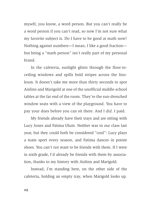myself, you know, a word person. But you can't really be a word person if you can't read, so now I'm not sure what my favorite subject is. Do I have to be good at math now? Nothing against numbers—I mean, I like a good fraction but being a "math person" isn't really part of my personal brand.

In the cafeteria, sunlight glints through the floor-toceiling windows and spills bold stripes across the linoleum. It doesn't take me more than thirty seconds to spot Aislinn and Marigold at one of the unofficial middle-school tables at the far end of the room. They're the sun-drenched window seats with a view of the playground. You have to pay your dues before you can sit there. And I *did*. I paid.

My friends already have their trays and are sitting with Lucy Jones and Fatima Ulum. Neither was in our class last year, but they could both be considered "cool": Lucy plays a team sport every season, and Fatima dances in pointe shoes. You can't *not* want to be friends with them. If I were in sixth grade, I'd already be friends with them by association, thanks to my history with Aislinn and Marigold.

Instead, I'm standing here, on the other side of the cafeteria, holding an empty tray, when Marigold looks up.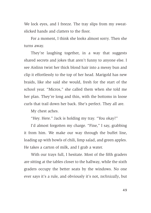We lock eyes, and I freeze. The tray slips from my sweatslicked hands and clatters to the floor.

For a moment, I think she looks almost sorry. Then she turns away.

They're laughing together, in a way that suggests shared secrets and jokes that aren't funny to anyone else. I see Aislinn twist her thick blond hair into a messy bun and clip it effortlessly to the top of her head. Marigold has new braids, like she said she would, fresh for the start of the school year. "Micros," she called them when she told me her plan. They're long and thin, with the bottoms in loose curls that trail down her back. She's perfect. They all are.

My chest aches.

"Hey. Here." Jack is holding my tray. "You okay?"

I'd almost forgotten my charge. "Fine," I say, grabbing it from him. We make our way through the buffet line, loading up with bowls of chili, limp salad, and green apples. He takes a carton of milk, and I grab a water.

With our trays full, I hesitate. Most of the fifth graders are sitting at the tables closer to the hallway, while the sixth graders occupy the better seats by the windows. No one ever says it's a rule, and obviously it's not, *technically*, but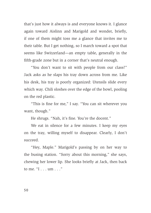that's just how it always is and everyone knows it. I glance again toward Aislinn and Marigold and wonder, briefly, if one of them might toss me a glance that invites me to their table. But I get nothing, so I march toward a spot that seems like Switzerland—an empty table, generally in the fifth-grade zone but in a corner that's neutral enough.

"You don't want to sit with people from our class?" Jack asks as he slaps his tray down across from me. Like his desk, his tray is poorly organized: Utensils slide every which way. Chili sloshes over the edge of the bowl, pooling on the red plastic.

"This is fine for me," I say. "You can sit wherever you want, though."

He shrugs. "Nah, it's fine. You're the docent."

We eat in silence for a few minutes. I keep my eyes on the tray, willing myself to disappear. Clearly, I don't succeed.

"Hey, Maple." Marigold's passing by on her way to the busing station. "Sorry about this morning," she says, chewing her lower lip. She looks briefly at Jack, then back to me. "I . . . um . . ."